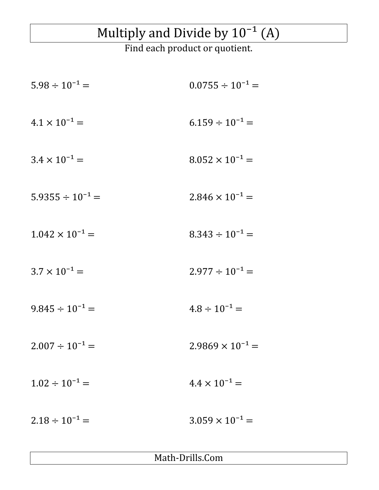## Multiply and Divide by  $10^{-1}$  (A)

Find each product or quotient.

| $5.98 \div 10^{-1} =$    | $0.0755 \div 10^{-1} =$   |
|--------------------------|---------------------------|
| $4.1 \times 10^{-1} =$   | $6.159 \div 10^{-1} =$    |
| $3.4 \times 10^{-1} =$   | $8.052 \times 10^{-1} =$  |
| $5.9355 \div 10^{-1} =$  | $2.846 \times 10^{-1} =$  |
| $1.042 \times 10^{-1} =$ | $8.343 \div 10^{-1} =$    |
| $3.7 \times 10^{-1} =$   | $2.977 \div 10^{-1} =$    |
| $9.845 \div 10^{-1} =$   | $4.8 \div 10^{-1} =$      |
| $2.007 \div 10^{-1} =$   | $2.9869 \times 10^{-1} =$ |
| $1.02 \div 10^{-1} =$    | $4.4 \times 10^{-1} =$    |
| $2.18 \div 10^{-1} =$    | $3.059 \times 10^{-1} =$  |

Math-Drills.Com